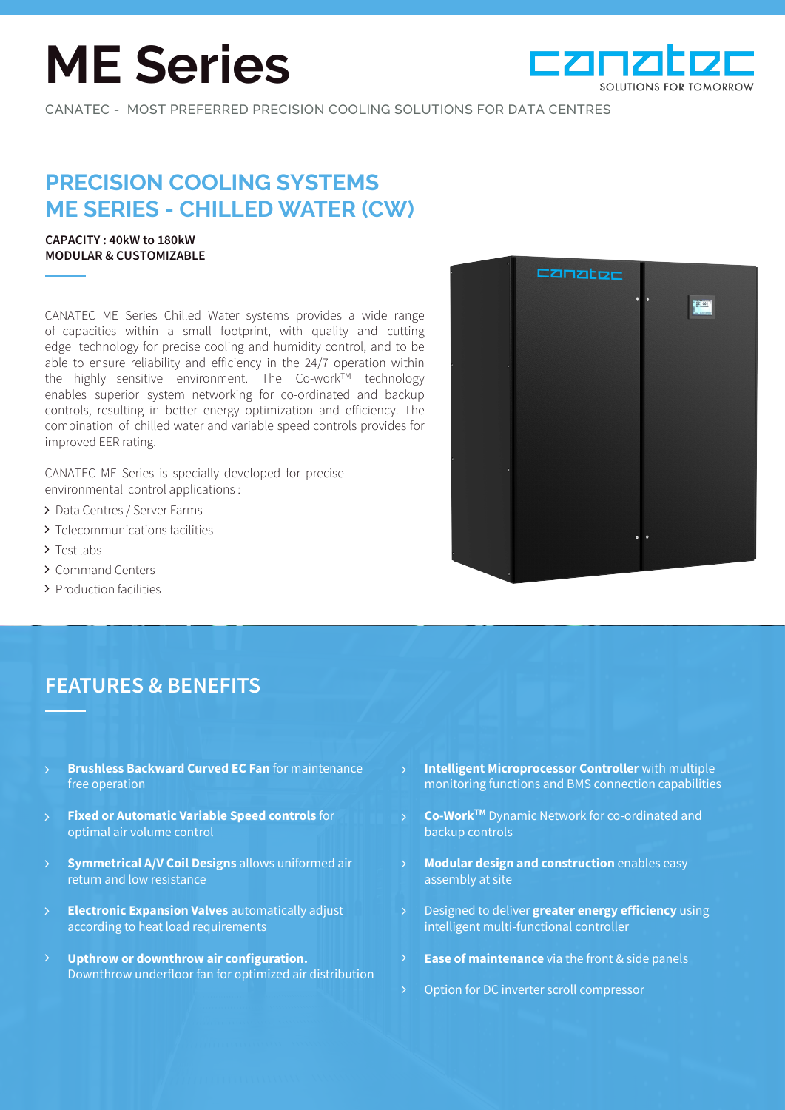# **ME Series**



CANATEC - MOST PREFERRED PRECISION COOLING SOLUTIONS FOR DATA CENTRES

# **PRECISION COOLING SYSTEMS ME SERIES - CHILLED WATER (CW)**

## **CAPACITY : 40kW to 180kW MODULAR & CUSTOMIZABLE**

CANATEC ME Series Chilled Water systems provides a wide range of capacities within a small footprint, with quality and cutting edge technology for precise cooling and humidity control, and to be able to ensure reliability and efficiency in the 24/7 operation within the highly sensitive environment. The Co-work™ technology enables superior system networking for co-ordinated and backup controls, resulting in better energy optimization and efficiency. The combination of chilled water and variable speed controls provides for improved EER rating.

CANATEC ME Series is specially developed for precise environmental control applications :

- > Data Centres / Server Farms
- > Telecommunications facilities
- > Test labs
- Command Centers
- > Production facilities

# CZNZter

## **FEATURES & BENEFITS**

- **Brushless Backward Curved EC Fan** for maintenance free operation
- **Fixed or Automatic Variable Speed controls** for optimal air volume control  $\mathsf{P}$
- **Symmetrical A/V Coil Designs** allows uniformed air return and low resistance
- **Electronic Expansion Valves** automatically adjust according to heat load requirements  $\mathbf{\hat{}}$
- **Upthrow or downthrow air configuration.**  Downthrow underfloor fan for optimized air distribution
- **Intelligent Microprocessor Controller** with multiple monitoring functions and BMS connection capabilities
- **Co-WorkTM** Dynamic Network for co-ordinated and backup controls
- **Modular design and construction** enables easy assembly at site
- Designed to deliver **greater energy efficiency** using intelligent multi-functional controller
- **Ease of maintenance** via the front & side panels
- Option for DC inverter scroll compressor